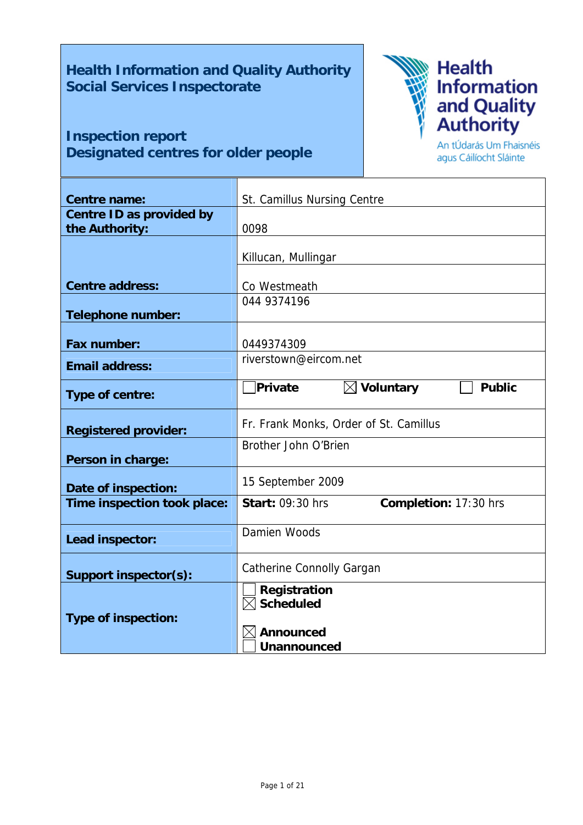# **Health Information and Quality Authority Social Services Inspectorate**

# **Inspection report Designated centres for older people**



An tÚdarás Um Fhaisnéis agus Cáilíocht Sláinte

| <b>Centre name:</b>                        | St. Camillus Nursing Centre                       |
|--------------------------------------------|---------------------------------------------------|
| Centre ID as provided by<br>the Authority: | 0098                                              |
|                                            | Killucan, Mullingar                               |
| <b>Centre address:</b>                     | Co Westmeath                                      |
| <b>Telephone number:</b>                   | 044 9374196                                       |
| Fax number:                                | 0449374309                                        |
| <b>Email address:</b>                      | riverstown@eircom.net                             |
| Type of centre:                            | $\boxtimes$ Voluntary<br>Private<br><b>Public</b> |
| <b>Registered provider:</b>                | Fr. Frank Monks, Order of St. Camillus            |
| Person in charge:                          | Brother John O'Brien                              |
| Date of inspection:                        | 15 September 2009                                 |
| Time inspection took place:                | Completion: 17:30 hrs<br><b>Start: 09:30 hrs</b>  |
| Lead inspector:                            | Damien Woods                                      |
| Support inspector(s):                      | Catherine Connolly Gargan                         |
| <b>Type of inspection:</b>                 | Registration<br>$\boxtimes$ Scheduled             |
|                                            | <b>Announced</b><br><b>Unannounced</b>            |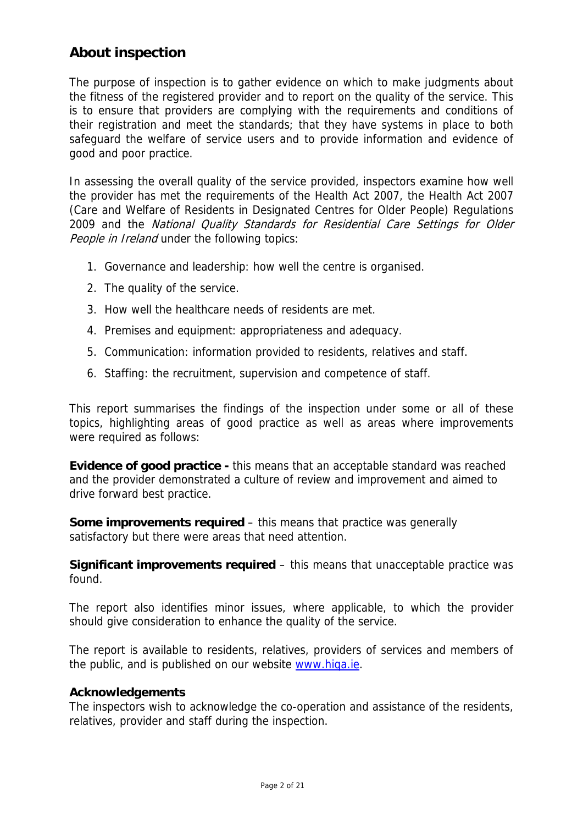# **About inspection**

The purpose of inspection is to gather evidence on which to make judgments about the fitness of the registered provider and to report on the quality of the service. This is to ensure that providers are complying with the requirements and conditions of their registration and meet the standards; that they have systems in place to both safeguard the welfare of service users and to provide information and evidence of good and poor practice.

In assessing the overall quality of the service provided, inspectors examine how well the provider has met the requirements of the Health Act 2007, the Health Act 2007 (Care and Welfare of Residents in Designated Centres for Older People) Regulations 2009 and the National Quality Standards for Residential Care Settings for Older People in Ireland under the following topics:

- 1. Governance and leadership: how well the centre is organised.
- 2. The quality of the service.
- 3. How well the healthcare needs of residents are met.
- 4. Premises and equipment: appropriateness and adequacy.
- 5. Communication: information provided to residents, relatives and staff.
- 6. Staffing: the recruitment, supervision and competence of staff.

This report summarises the findings of the inspection under some or all of these topics, highlighting areas of good practice as well as areas where improvements were required as follows:

**Evidence of good practice -** this means that an acceptable standard was reached and the provider demonstrated a culture of review and improvement and aimed to drive forward best practice.

**Some improvements required** – this means that practice was generally satisfactory but there were areas that need attention.

**Significant improvements required** – this means that unacceptable practice was found.

The report also identifies minor issues, where applicable, to which the provider should give consideration to enhance the quality of the service.

The report is available to residents, relatives, providers of services and members of the public, and is published on our website www.higa.ie.

### **Acknowledgements**

The inspectors wish to acknowledge the co-operation and assistance of the residents, relatives, provider and staff during the inspection.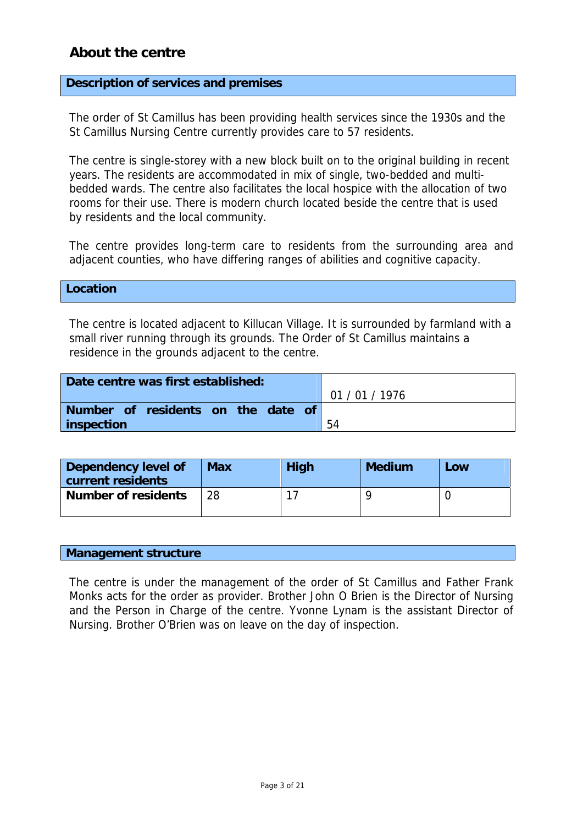# **About the centre**

### **Description of services and premises**

The order of St Camillus has been providing health services since the 1930s and the St Camillus Nursing Centre currently provides care to 57 residents.

The centre is single-storey with a new block built on to the original building in recent years. The residents are accommodated in mix of single, two-bedded and multibedded wards. The centre also facilitates the local hospice with the allocation of two rooms for their use. There is modern church located beside the centre that is used by residents and the local community.

The centre provides long-term care to residents from the surrounding area and adjacent counties, who have differing ranges of abilities and cognitive capacity.

#### **Location**

The centre is located adjacent to Killucan Village. It is surrounded by farmland with a small river running through its grounds. The Order of St Camillus maintains a residence in the grounds adjacent to the centre.

| Date centre was first established: |            |
|------------------------------------|------------|
|                                    | 01/01/1976 |
| Number of residents on the date of |            |
| inspection                         | 54         |

| Dependency level of<br>current residents | <b>Max</b> | <b>High</b> | <b>Medium</b> | Low |
|------------------------------------------|------------|-------------|---------------|-----|
| <b>Number of residents</b>               | 28         |             |               |     |

#### **Management structure**

The centre is under the management of the order of St Camillus and Father Frank Monks acts for the order as provider. Brother John O Brien is the Director of Nursing and the Person in Charge of the centre. Yvonne Lynam is the assistant Director of Nursing. Brother O'Brien was on leave on the day of inspection.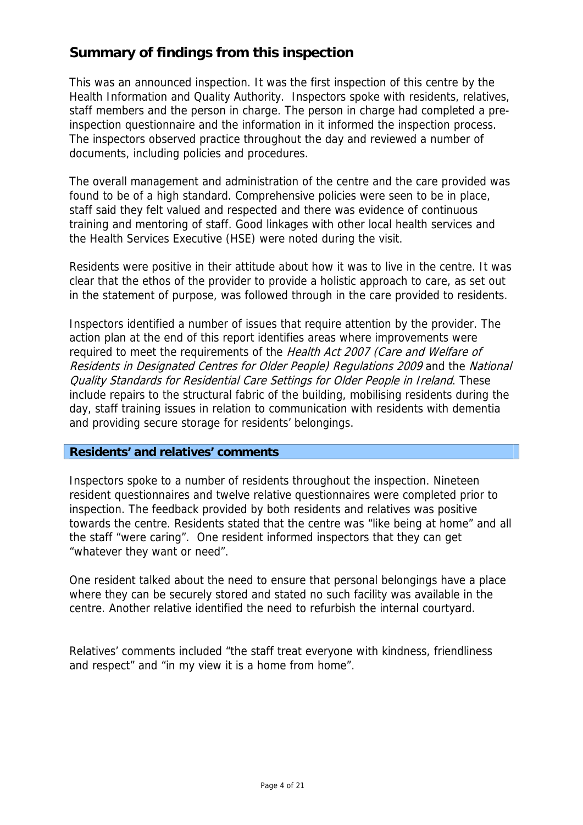# **Summary of findings from this inspection**

This was an announced inspection. It was the first inspection of this centre by the Health Information and Quality Authority. Inspectors spoke with residents, relatives, staff members and the person in charge. The person in charge had completed a preinspection questionnaire and the information in it informed the inspection process. The inspectors observed practice throughout the day and reviewed a number of documents, including policies and procedures.

The overall management and administration of the centre and the care provided was found to be of a high standard. Comprehensive policies were seen to be in place, staff said they felt valued and respected and there was evidence of continuous training and mentoring of staff. Good linkages with other local health services and the Health Services Executive (HSE) were noted during the visit.

Residents were positive in their attitude about how it was to live in the centre. It was clear that the ethos of the provider to provide a holistic approach to care, as set out in the statement of purpose, was followed through in the care provided to residents.

Inspectors identified a number of issues that require attention by the provider. The action plan at the end of this report identifies areas where improvements were required to meet the requirements of the Health Act 2007 (Care and Welfare of Residents in Designated Centres for Older People) Regulations 2009 and the National Quality Standards for Residential Care Settings for Older People in Ireland. These include repairs to the structural fabric of the building, mobilising residents during the day, staff training issues in relation to communication with residents with dementia and providing secure storage for residents' belongings.

### **Residents' and relatives' comments**

Inspectors spoke to a number of residents throughout the inspection. Nineteen resident questionnaires and twelve relative questionnaires were completed prior to inspection. The feedback provided by both residents and relatives was positive towards the centre. Residents stated that the centre was "like being at home" and all the staff "were caring". One resident informed inspectors that they can get "whatever they want or need".

One resident talked about the need to ensure that personal belongings have a place where they can be securely stored and stated no such facility was available in the centre. Another relative identified the need to refurbish the internal courtyard.

Relatives' comments included "the staff treat everyone with kindness, friendliness and respect" and "in my view it is a home from home".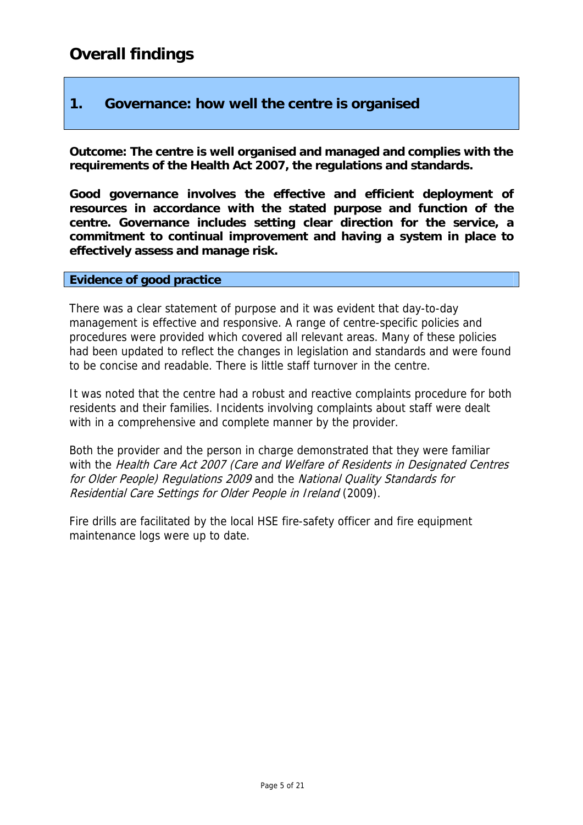# **1. Governance: how well the centre is organised**

**Outcome: The centre is well organised and managed and complies with the requirements of the Health Act 2007, the regulations and standards.** 

**Good governance involves the effective and efficient deployment of resources in accordance with the stated purpose and function of the centre. Governance includes setting clear direction for the service, a commitment to continual improvement and having a system in place to effectively assess and manage risk.** 

### **Evidence of good practice**

There was a clear statement of purpose and it was evident that day-to-day management is effective and responsive. A range of centre-specific policies and procedures were provided which covered all relevant areas. Many of these policies had been updated to reflect the changes in legislation and standards and were found to be concise and readable. There is little staff turnover in the centre.

It was noted that the centre had a robust and reactive complaints procedure for both residents and their families. Incidents involving complaints about staff were dealt with in a comprehensive and complete manner by the provider.

Both the provider and the person in charge demonstrated that they were familiar with the Health Care Act 2007 (Care and Welfare of Residents in Designated Centres for Older People) Regulations 2009 and the National Quality Standards for Residential Care Settings for Older People in Ireland (2009).

Fire drills are facilitated by the local HSE fire-safety officer and fire equipment maintenance logs were up to date.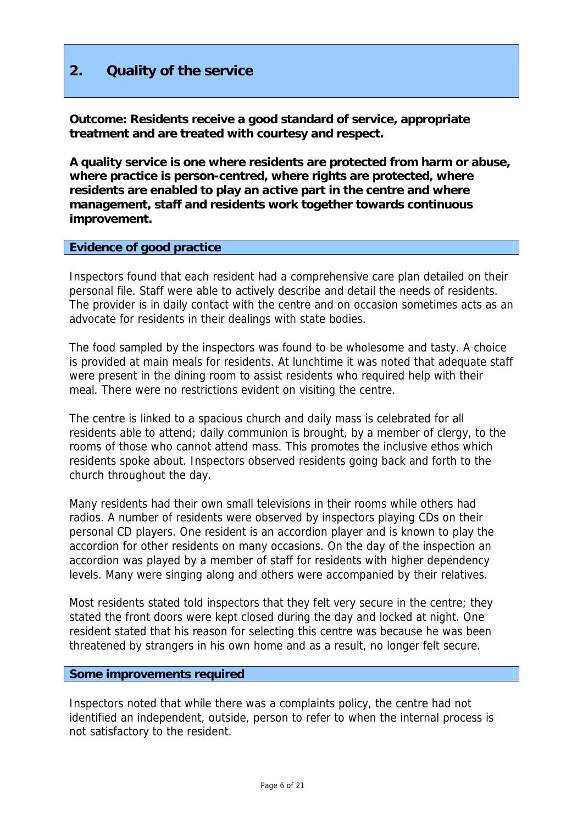# **2. Quality of the service**

**Outcome: Residents receive a good standard of service, appropriate treatment and are treated with courtesy and respect.** 

**A quality service is one where residents are protected from harm or abuse, where practice is person-centred, where rights are protected, where residents are enabled to play an active part in the centre and where management, staff and residents work together towards continuous improvement.** 

#### **Evidence of good practice**

Inspectors found that each resident had a comprehensive care plan detailed on their personal file. Staff were able to actively describe and detail the needs of residents. The provider is in daily contact with the centre and on occasion sometimes acts as an advocate for residents in their dealings with state bodies.

The food sampled by the inspectors was found to be wholesome and tasty. A choice is provided at main meals for residents. At lunchtime it was noted that adequate staff were present in the dining room to assist residents who required help with their meal. There were no restrictions evident on visiting the centre.

The centre is linked to a spacious church and daily mass is celebrated for all residents able to attend; daily communion is brought, by a member of clergy, to the rooms of those who cannot attend mass. This promotes the inclusive ethos which residents spoke about. Inspectors observed residents going back and forth to the church throughout the day.

Many residents had their own small televisions in their rooms while others had radios. A number of residents were observed by inspectors playing CDs on their personal CD players. One resident is an accordion player and is known to play the accordion for other residents on many occasions. On the day of the inspection an accordion was played by a member of staff for residents with higher dependency levels. Many were singing along and others were accompanied by their relatives.

Most residents stated told inspectors that they felt very secure in the centre; they stated the front doors were kept closed during the day and locked at night. One resident stated that his reason for selecting this centre was because he was been threatened by strangers in his own home and as a result, no longer felt secure.

### **Some improvements required**

Inspectors noted that while there was a complaints policy, the centre had not identified an independent, outside, person to refer to when the internal process is not satisfactory to the resident.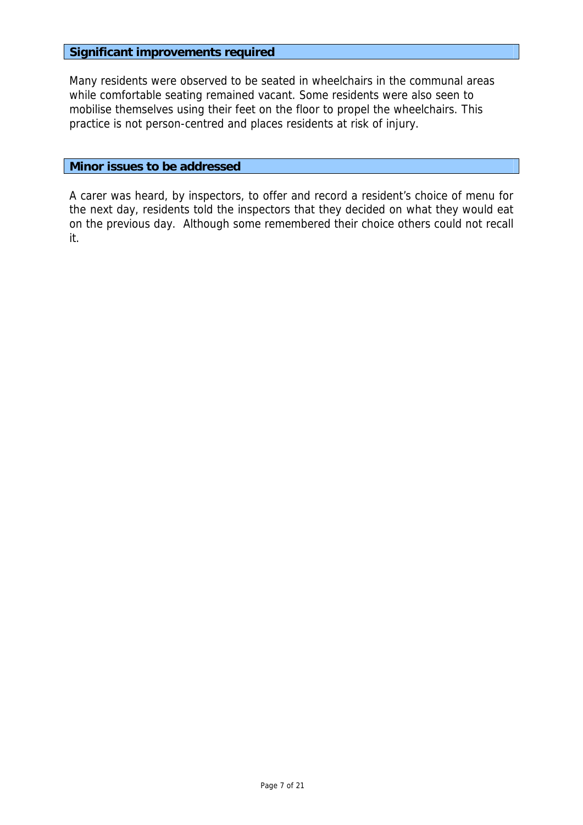### **Significant improvements required**

Many residents were observed to be seated in wheelchairs in the communal areas while comfortable seating remained vacant. Some residents were also seen to mobilise themselves using their feet on the floor to propel the wheelchairs. This practice is not person-centred and places residents at risk of injury.

### **Minor issues to be addressed**

A carer was heard, by inspectors, to offer and record a resident's choice of menu for the next day, residents told the inspectors that they decided on what they would eat on the previous day. Although some remembered their choice others could not recall it.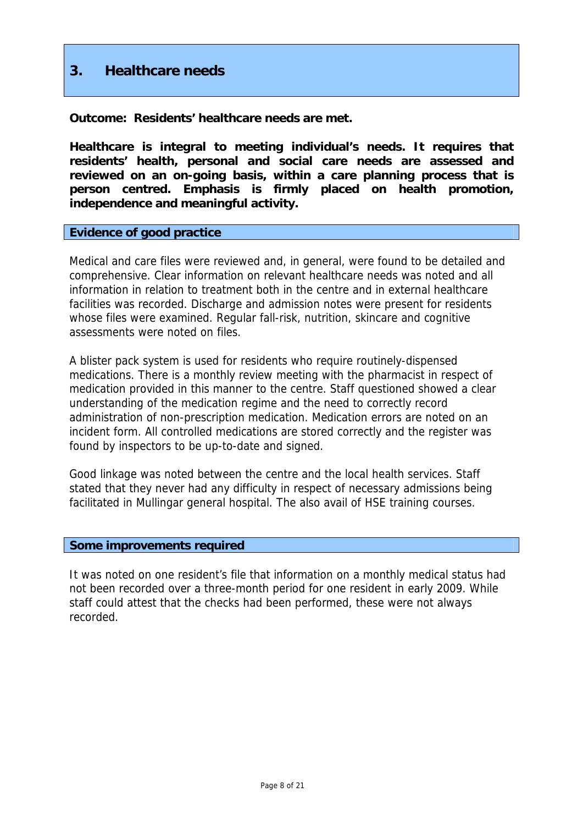# **3. Healthcare needs**

**Outcome: Residents' healthcare needs are met.** 

**Healthcare is integral to meeting individual's needs. It requires that residents' health, personal and social care needs are assessed and reviewed on an on-going basis, within a care planning process that is person centred. Emphasis is firmly placed on health promotion, independence and meaningful activity.** 

#### **Evidence of good practice**

Medical and care files were reviewed and, in general, were found to be detailed and comprehensive. Clear information on relevant healthcare needs was noted and all information in relation to treatment both in the centre and in external healthcare facilities was recorded. Discharge and admission notes were present for residents whose files were examined. Regular fall-risk, nutrition, skincare and cognitive assessments were noted on files.

A blister pack system is used for residents who require routinely-dispensed medications. There is a monthly review meeting with the pharmacist in respect of medication provided in this manner to the centre. Staff questioned showed a clear understanding of the medication regime and the need to correctly record administration of non-prescription medication. Medication errors are noted on an incident form. All controlled medications are stored correctly and the register was found by inspectors to be up-to-date and signed.

Good linkage was noted between the centre and the local health services. Staff stated that they never had any difficulty in respect of necessary admissions being facilitated in Mullingar general hospital. The also avail of HSE training courses.

#### **Some improvements required**

It was noted on one resident's file that information on a monthly medical status had not been recorded over a three-month period for one resident in early 2009. While staff could attest that the checks had been performed, these were not always recorded.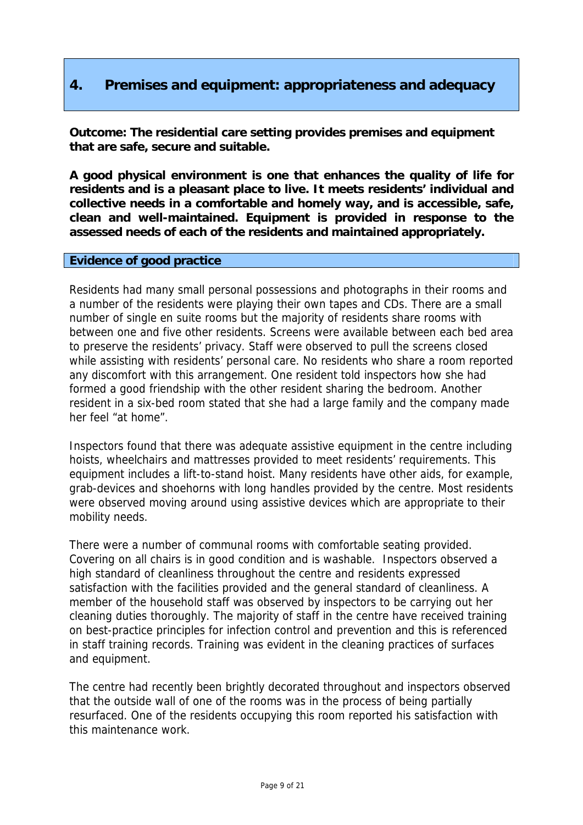# **4. Premises and equipment: appropriateness and adequacy**

**Outcome: The residential care setting provides premises and equipment that are safe, secure and suitable.** 

**A good physical environment is one that enhances the quality of life for residents and is a pleasant place to live. It meets residents' individual and collective needs in a comfortable and homely way, and is accessible, safe, clean and well-maintained. Equipment is provided in response to the assessed needs of each of the residents and maintained appropriately.** 

### **Evidence of good practice**

Residents had many small personal possessions and photographs in their rooms and a number of the residents were playing their own tapes and CDs. There are a small number of single en suite rooms but the majority of residents share rooms with between one and five other residents. Screens were available between each bed area to preserve the residents' privacy. Staff were observed to pull the screens closed while assisting with residents' personal care. No residents who share a room reported any discomfort with this arrangement. One resident told inspectors how she had formed a good friendship with the other resident sharing the bedroom. Another resident in a six-bed room stated that she had a large family and the company made her feel "at home".

Inspectors found that there was adequate assistive equipment in the centre including hoists, wheelchairs and mattresses provided to meet residents' requirements. This equipment includes a lift-to-stand hoist. Many residents have other aids, for example, grab-devices and shoehorns with long handles provided by the centre. Most residents were observed moving around using assistive devices which are appropriate to their mobility needs.

There were a number of communal rooms with comfortable seating provided. Covering on all chairs is in good condition and is washable. Inspectors observed a high standard of cleanliness throughout the centre and residents expressed satisfaction with the facilities provided and the general standard of cleanliness. A member of the household staff was observed by inspectors to be carrying out her cleaning duties thoroughly. The majority of staff in the centre have received training on best-practice principles for infection control and prevention and this is referenced in staff training records. Training was evident in the cleaning practices of surfaces and equipment.

The centre had recently been brightly decorated throughout and inspectors observed that the outside wall of one of the rooms was in the process of being partially resurfaced. One of the residents occupying this room reported his satisfaction with this maintenance work.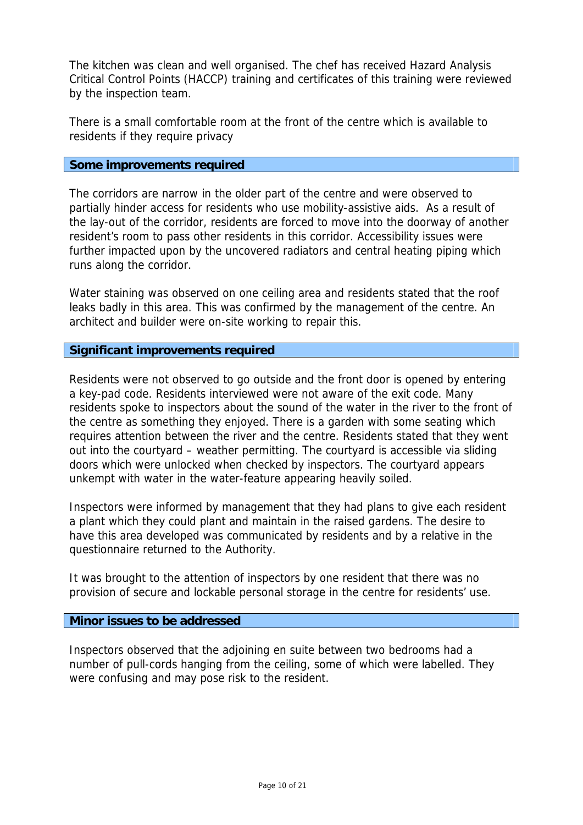The kitchen was clean and well organised. The chef has received Hazard Analysis Critical Control Points (HACCP) training and certificates of this training were reviewed by the inspection team.

There is a small comfortable room at the front of the centre which is available to residents if they require privacy

### **Some improvements required**

The corridors are narrow in the older part of the centre and were observed to partially hinder access for residents who use mobility-assistive aids. As a result of the lay-out of the corridor, residents are forced to move into the doorway of another resident's room to pass other residents in this corridor. Accessibility issues were further impacted upon by the uncovered radiators and central heating piping which runs along the corridor.

Water staining was observed on one ceiling area and residents stated that the roof leaks badly in this area. This was confirmed by the management of the centre. An architect and builder were on-site working to repair this.

### **Significant improvements required**

Residents were not observed to go outside and the front door is opened by entering a key-pad code. Residents interviewed were not aware of the exit code. Many residents spoke to inspectors about the sound of the water in the river to the front of the centre as something they enjoyed. There is a garden with some seating which requires attention between the river and the centre. Residents stated that they went out into the courtyard – weather permitting. The courtyard is accessible via sliding doors which were unlocked when checked by inspectors. The courtyard appears unkempt with water in the water-feature appearing heavily soiled.

Inspectors were informed by management that they had plans to give each resident a plant which they could plant and maintain in the raised gardens. The desire to have this area developed was communicated by residents and by a relative in the questionnaire returned to the Authority.

It was brought to the attention of inspectors by one resident that there was no provision of secure and lockable personal storage in the centre for residents' use.

### **Minor issues to be addressed**

Inspectors observed that the adjoining en suite between two bedrooms had a number of pull-cords hanging from the ceiling, some of which were labelled. They were confusing and may pose risk to the resident.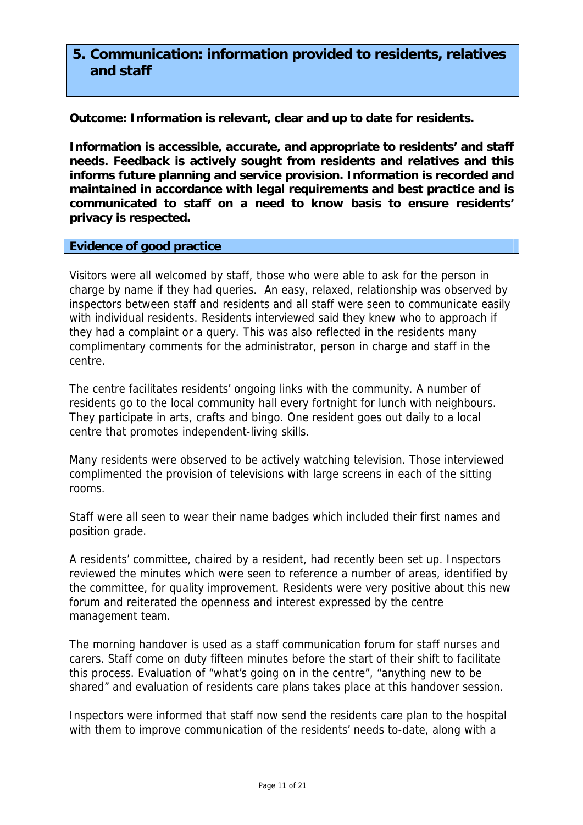# **5. Communication: information provided to residents, relatives and staff**

**Outcome: Information is relevant, clear and up to date for residents.** 

**Information is accessible, accurate, and appropriate to residents' and staff needs. Feedback is actively sought from residents and relatives and this informs future planning and service provision. Information is recorded and maintained in accordance with legal requirements and best practice and is communicated to staff on a need to know basis to ensure residents' privacy is respected.** 

#### **Evidence of good practice**

Visitors were all welcomed by staff, those who were able to ask for the person in charge by name if they had queries. An easy, relaxed, relationship was observed by inspectors between staff and residents and all staff were seen to communicate easily with individual residents. Residents interviewed said they knew who to approach if they had a complaint or a query. This was also reflected in the residents many complimentary comments for the administrator, person in charge and staff in the centre.

The centre facilitates residents' ongoing links with the community. A number of residents go to the local community hall every fortnight for lunch with neighbours. They participate in arts, crafts and bingo. One resident goes out daily to a local centre that promotes independent-living skills.

Many residents were observed to be actively watching television. Those interviewed complimented the provision of televisions with large screens in each of the sitting rooms.

Staff were all seen to wear their name badges which included their first names and position grade.

A residents' committee, chaired by a resident, had recently been set up. Inspectors reviewed the minutes which were seen to reference a number of areas, identified by the committee, for quality improvement. Residents were very positive about this new forum and reiterated the openness and interest expressed by the centre management team.

The morning handover is used as a staff communication forum for staff nurses and carers. Staff come on duty fifteen minutes before the start of their shift to facilitate this process. Evaluation of "what's going on in the centre", "anything new to be shared" and evaluation of residents care plans takes place at this handover session.

Inspectors were informed that staff now send the residents care plan to the hospital with them to improve communication of the residents' needs to-date, along with a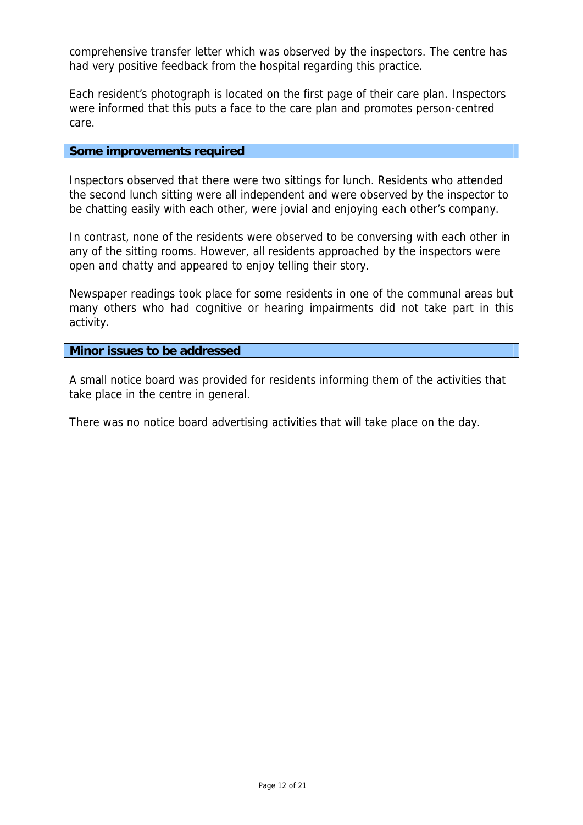comprehensive transfer letter which was observed by the inspectors. The centre has had very positive feedback from the hospital regarding this practice.

Each resident's photograph is located on the first page of their care plan. Inspectors were informed that this puts a face to the care plan and promotes person-centred care.

#### **Some improvements required**

Inspectors observed that there were two sittings for lunch. Residents who attended the second lunch sitting were all independent and were observed by the inspector to be chatting easily with each other, were jovial and enjoying each other's company.

In contrast, none of the residents were observed to be conversing with each other in any of the sitting rooms. However, all residents approached by the inspectors were open and chatty and appeared to enjoy telling their story.

Newspaper readings took place for some residents in one of the communal areas but many others who had cognitive or hearing impairments did not take part in this activity.

**Minor issues to be addressed** 

A small notice board was provided for residents informing them of the activities that take place in the centre in general.

There was no notice board advertising activities that will take place on the day.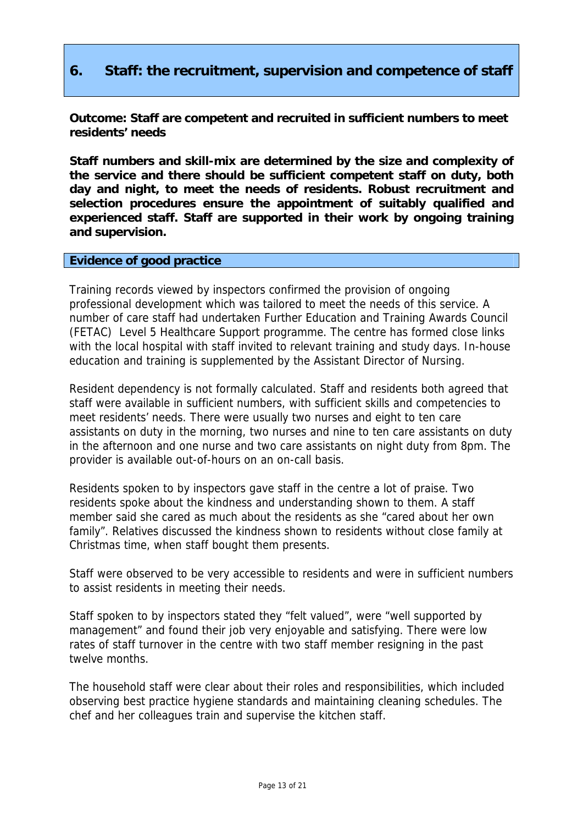# **6. Staff: the recruitment, supervision and competence of staff**

**Outcome: Staff are competent and recruited in sufficient numbers to meet residents' needs** 

**Staff numbers and skill-mix are determined by the size and complexity of the service and there should be sufficient competent staff on duty, both day and night, to meet the needs of residents. Robust recruitment and selection procedures ensure the appointment of suitably qualified and experienced staff. Staff are supported in their work by ongoing training and supervision.** 

### **Evidence of good practice**

Training records viewed by inspectors confirmed the provision of ongoing professional development which was tailored to meet the needs of this service. A number of care staff had undertaken Further Education and Training Awards Council (FETAC) Level 5 Healthcare Support programme. The centre has formed close links with the local hospital with staff invited to relevant training and study days. In-house education and training is supplemented by the Assistant Director of Nursing.

Resident dependency is not formally calculated. Staff and residents both agreed that staff were available in sufficient numbers, with sufficient skills and competencies to meet residents' needs. There were usually two nurses and eight to ten care assistants on duty in the morning, two nurses and nine to ten care assistants on duty in the afternoon and one nurse and two care assistants on night duty from 8pm. The provider is available out-of-hours on an on-call basis.

Residents spoken to by inspectors gave staff in the centre a lot of praise. Two residents spoke about the kindness and understanding shown to them. A staff member said she cared as much about the residents as she "cared about her own family". Relatives discussed the kindness shown to residents without close family at Christmas time, when staff bought them presents.

Staff were observed to be very accessible to residents and were in sufficient numbers to assist residents in meeting their needs.

Staff spoken to by inspectors stated they "felt valued", were "well supported by management" and found their job very enjoyable and satisfying. There were low rates of staff turnover in the centre with two staff member resigning in the past twelve months.

The household staff were clear about their roles and responsibilities, which included observing best practice hygiene standards and maintaining cleaning schedules. The chef and her colleagues train and supervise the kitchen staff.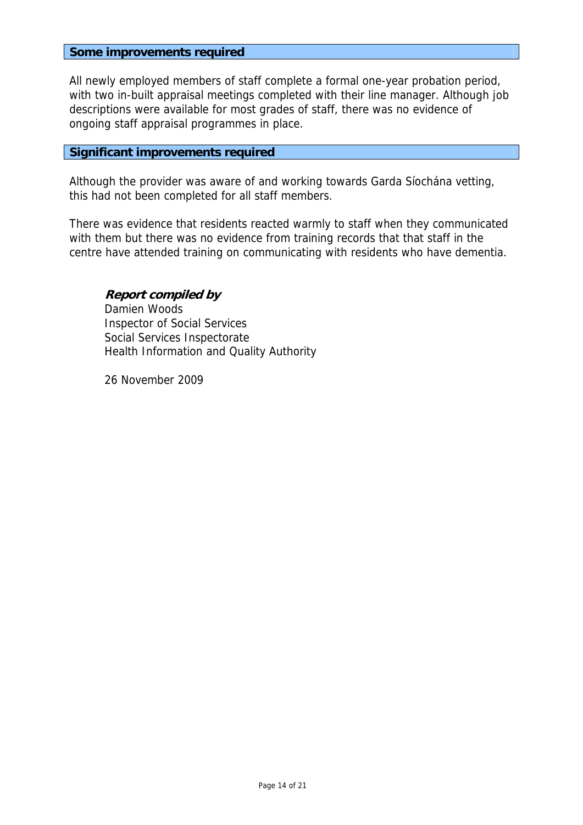#### **Some improvements required**

All newly employed members of staff complete a formal one-year probation period, with two in-built appraisal meetings completed with their line manager. Although job descriptions were available for most grades of staff, there was no evidence of ongoing staff appraisal programmes in place.

### **Significant improvements required**

Although the provider was aware of and working towards Garda Síochána vetting, this had not been completed for all staff members.

There was evidence that residents reacted warmly to staff when they communicated with them but there was no evidence from training records that that staff in the centre have attended training on communicating with residents who have dementia.

**Report compiled by**  Damien Woods Inspector of Social Services Social Services Inspectorate Health Information and Quality Authority

26 November 2009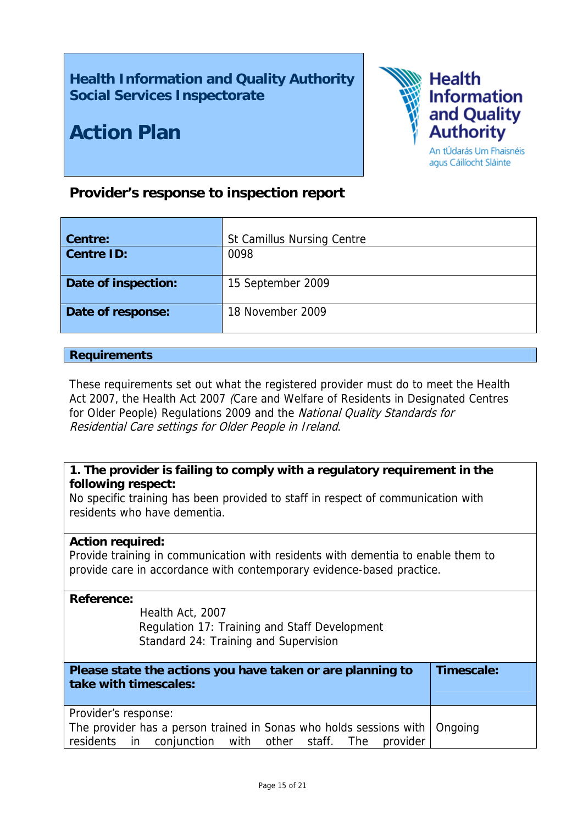# **Health Information and Quality Authority Social Services Inspectorate**

# **Action Plan**



An tÚdarás Um Fhaisnéis agus Cáilíocht Sláinte

# **Provider's response to inspection report**

| Centre:<br><b>Centre ID:</b> | <b>St Camillus Nursing Centre</b><br>0098 |
|------------------------------|-------------------------------------------|
| Date of inspection:          | 15 September 2009                         |
| Date of response:            | 18 November 2009                          |

### **Requirements**

These requirements set out what the registered provider must do to meet the Health Act 2007, the Health Act 2007 (Care and Welfare of Residents in Designated Centres for Older People) Regulations 2009 and the National Quality Standards for Residential Care settings for Older People in Ireland.

# **1. The provider is failing to comply with a regulatory requirement in the following respect:**

No specific training has been provided to staff in respect of communication with residents who have dementia.

### **Action required:**

Provide training in communication with residents with dementia to enable them to provide care in accordance with contemporary evidence-based practice.

### **Reference:**

Health Act, 2007 Regulation 17: Training and Staff Development Standard 24: Training and Supervision

| Please state the actions you have taken or are planning to<br>take with timescales: | Timescale: |
|-------------------------------------------------------------------------------------|------------|
| Provider's response:                                                                |            |
| The provider has a person trained in Sonas who holds sessions with   Ongoing        |            |
| residents in conjunction with other staff. The provider                             |            |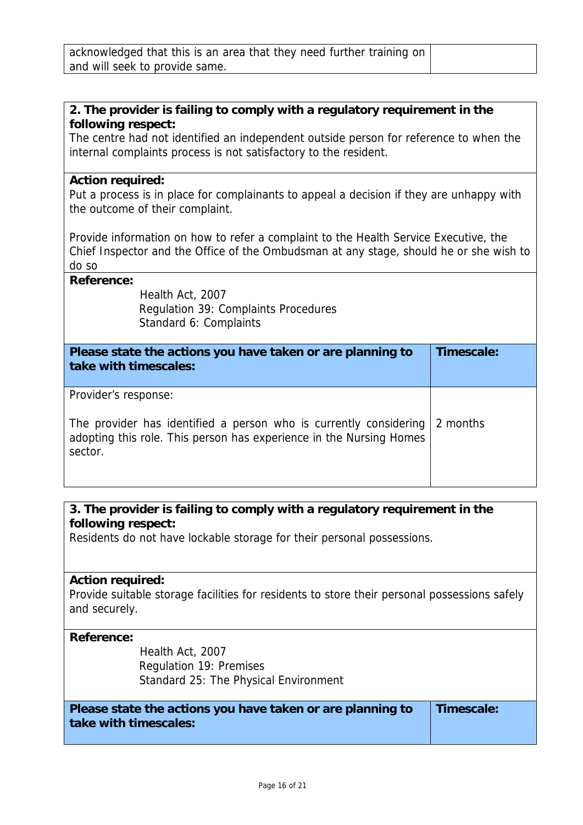# **2. The provider is failing to comply with a regulatory requirement in the following respect:**

The centre had not identified an independent outside person for reference to when the internal complaints process is not satisfactory to the resident.

### **Action required:**

Put a process is in place for complainants to appeal a decision if they are unhappy with the outcome of their complaint.

Provide information on how to refer a complaint to the Health Service Executive, the Chief Inspector and the Office of the Ombudsman at any stage, should he or she wish to do so

### **Reference:**

Health Act, 2007 Regulation 39: Complaints Procedures Standard 6: Complaints

| Please state the actions you have taken or are planning to<br>take with timescales:                                                                                         | Timescale: |
|-----------------------------------------------------------------------------------------------------------------------------------------------------------------------------|------------|
| Provider's response:<br>The provider has identified a person who is currently considering<br>adopting this role. This person has experience in the Nursing Homes<br>sector. | 2 months   |

# **3. The provider is failing to comply with a regulatory requirement in the following respect:**

Residents do not have lockable storage for their personal possessions.

#### **Action required:**

Provide suitable storage facilities for residents to store their personal possessions safely and securely.

#### **Reference:**

Health Act, 2007 Regulation 19: Premises Standard 25: The Physical Environment

**Please state the actions you have taken or are planning to take with timescales:**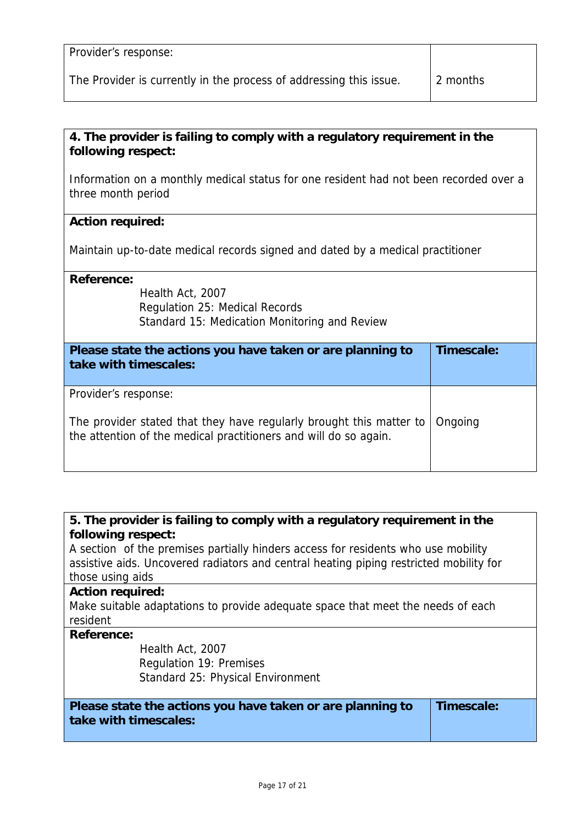| Provider's response:                                               |          |
|--------------------------------------------------------------------|----------|
| The Provider is currently in the process of addressing this issue. | 2 months |

## **4. The provider is failing to comply with a regulatory requirement in the following respect:**

Information on a monthly medical status for one resident had not been recorded over a three month period

## **Action required:**

Maintain up-to-date medical records signed and dated by a medical practitioner

### **Reference:**

Health Act, 2007 Regulation 25: Medical Records Standard 15: Medication Monitoring and Review

| Please state the actions you have taken or are planning to<br>take with timescales:                                                                             | Timescale: |
|-----------------------------------------------------------------------------------------------------------------------------------------------------------------|------------|
| Provider's response:<br>The provider stated that they have regularly brought this matter to<br>the attention of the medical practitioners and will do so again. | Ongoing    |

## **5. The provider is failing to comply with a regulatory requirement in the following respect:**

A section of the premises partially hinders access for residents who use mobility assistive aids. Uncovered radiators and central heating piping restricted mobility for those using aids

#### **Action required:**

Make suitable adaptations to provide adequate space that meet the needs of each resident

#### **Reference:**

Health Act, 2007 Regulation 19: Premises Standard 25: Physical Environment

**Please state the actions you have taken or are planning to take with timescales:** 

**Timescale:**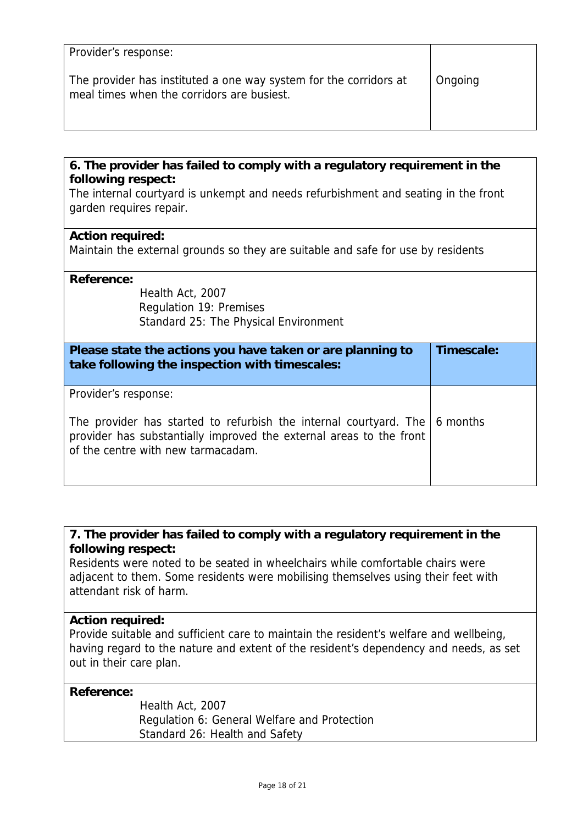| Provider's response:                                                                                            |         |
|-----------------------------------------------------------------------------------------------------------------|---------|
| The provider has instituted a one way system for the corridors at<br>meal times when the corridors are busiest. | Ongoing |

## **6. The provider has failed to comply with a regulatory requirement in the following respect:**

The internal courtyard is unkempt and needs refurbishment and seating in the front garden requires repair.

### **Action required:**

Maintain the external grounds so they are suitable and safe for use by residents

### **Reference:**

Health Act, 2007 Regulation 19: Premises Standard 25: The Physical Environment

| Please state the actions you have taken or are planning to<br>take following the inspection with timescales:                                                                                                    | Timescale: |
|-----------------------------------------------------------------------------------------------------------------------------------------------------------------------------------------------------------------|------------|
| Provider's response:<br>The provider has started to refurbish the internal courtyard. The 6 months<br>provider has substantially improved the external areas to the front<br>of the centre with new tarmacadam. |            |

# **7. The provider has failed to comply with a regulatory requirement in the following respect:**

Residents were noted to be seated in wheelchairs while comfortable chairs were adjacent to them. Some residents were mobilising themselves using their feet with attendant risk of harm.

### **Action required:**

Provide suitable and sufficient care to maintain the resident's welfare and wellbeing, having regard to the nature and extent of the resident's dependency and needs, as set out in their care plan.

### **Reference:**

Health Act, 2007 Regulation 6: General Welfare and Protection Standard 26: Health and Safety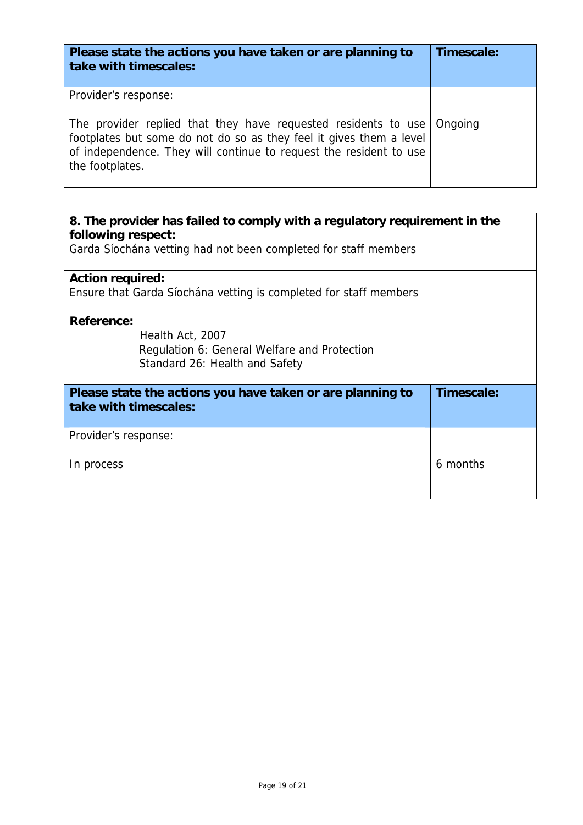| Please state the actions you have taken or are planning to<br>take with timescales:                                                                                                                                                                            | Timescale: |
|----------------------------------------------------------------------------------------------------------------------------------------------------------------------------------------------------------------------------------------------------------------|------------|
| Provider's response:<br>The provider replied that they have requested residents to use Ongoing<br>footplates but some do not do so as they feel it gives them a level<br>of independence. They will continue to request the resident to use<br>the footplates. |            |

| 8. The provider has failed to comply with a regulatory requirement in the |            |  |
|---------------------------------------------------------------------------|------------|--|
| following respect:                                                        |            |  |
| Garda Síochána vetting had not been completed for staff members           |            |  |
| <b>Action required:</b>                                                   |            |  |
|                                                                           |            |  |
| Ensure that Garda Síochána vetting is completed for staff members         |            |  |
| <b>Reference:</b>                                                         |            |  |
| Health Act, 2007                                                          |            |  |
| Regulation 6: General Welfare and Protection                              |            |  |
| Standard 26: Health and Safety                                            |            |  |
|                                                                           |            |  |
| Please state the actions you have taken or are planning to                | Timescale: |  |
| take with timescales:                                                     |            |  |
|                                                                           |            |  |
| Provider's response:                                                      |            |  |
|                                                                           |            |  |
| In process                                                                | 6 months   |  |
|                                                                           |            |  |
|                                                                           |            |  |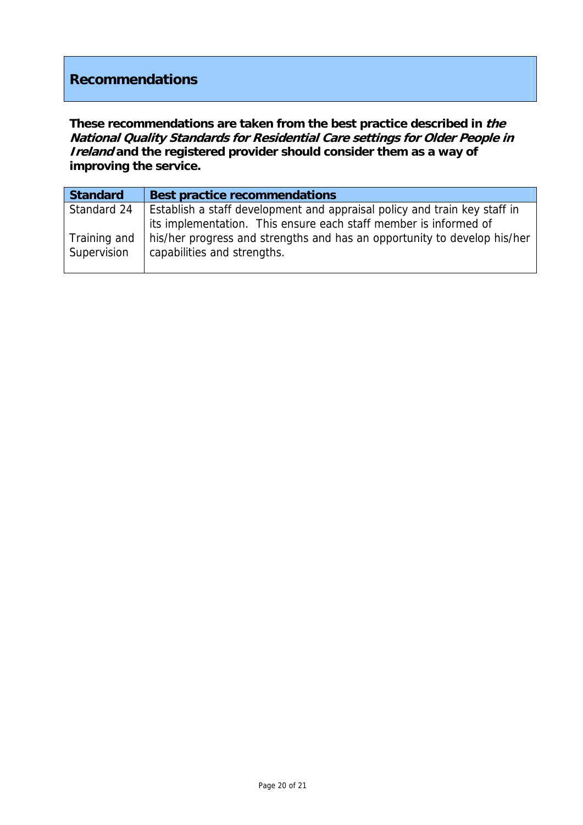# **Recommendations**

**These recommendations are taken from the best practice described in the National Quality Standards for Residential Care settings for Older People in Ireland and the registered provider should consider them as a way of improving the service.**

| <b>Standard</b> | <b>Best practice recommendations</b>                                      |
|-----------------|---------------------------------------------------------------------------|
| Standard 24     | Establish a staff development and appraisal policy and train key staff in |
|                 | its implementation. This ensure each staff member is informed of          |
| Training and    | his/her progress and strengths and has an opportunity to develop his/her  |
| Supervision     | capabilities and strengths.                                               |
|                 |                                                                           |